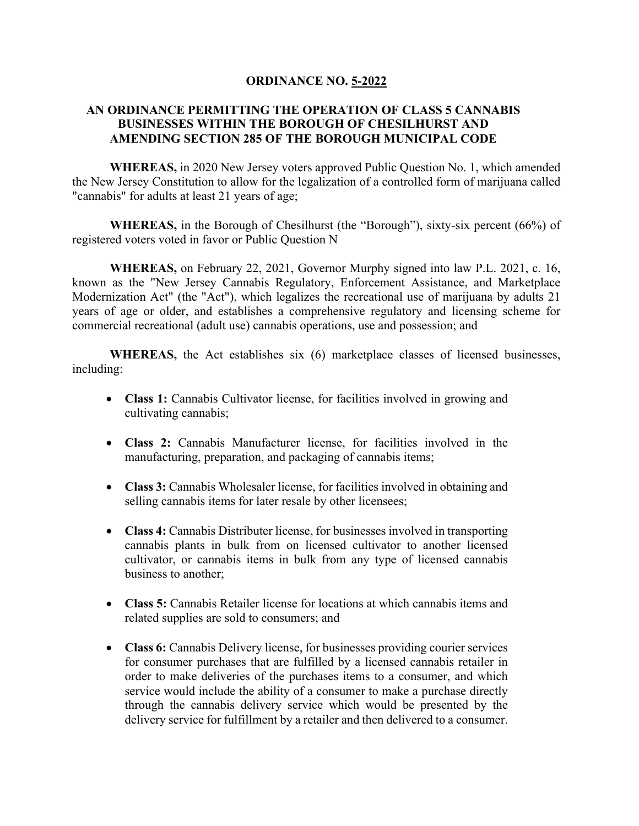## **ORDINANCE NO. 5-2022**

## **AN ORDINANCE PERMITTING THE OPERATION OF CLASS 5 CANNABIS BUSINESSES WITHIN THE BOROUGH OF CHESILHURST AND AMENDING SECTION 285 OF THE BOROUGH MUNICIPAL CODE**

**WHEREAS,** in 2020 New Jersey voters approved Public Question No. 1, which amended the New Jersey Constitution to allow for the legalization of a controlled form of marijuana called "cannabis" for adults at least 21 years of age;

**WHEREAS,** in the Borough of Chesilhurst (the "Borough"), sixty-six percent (66%) of registered voters voted in favor or Public Question N

**WHEREAS,** on February 22, 2021, Governor Murphy signed into law P.L. 2021, c. 16, known as the "New Jersey Cannabis Regulatory, Enforcement Assistance, and Marketplace Modernization Act" (the "Act"), which legalizes the recreational use of marijuana by adults 21 years of age or older, and establishes a comprehensive regulatory and licensing scheme for commercial recreational (adult use) cannabis operations, use and possession; and

**WHEREAS,** the Act establishes six (6) marketplace classes of licensed businesses, including:

- **Class 1:** Cannabis Cultivator license, for facilities involved in growing and cultivating cannabis;
- **Class 2:** Cannabis Manufacturer license, for facilities involved in the manufacturing, preparation, and packaging of cannabis items;
- **Class 3:** Cannabis Wholesaler license, for facilities involved in obtaining and selling cannabis items for later resale by other licensees;
- **Class 4:** Cannabis Distributer license, for businesses involved in transporting cannabis plants in bulk from on licensed cultivator to another licensed cultivator, or cannabis items in bulk from any type of licensed cannabis business to another;
- **Class 5:** Cannabis Retailer license for locations at which cannabis items and related supplies are sold to consumers; and
- **Class 6:** Cannabis Delivery license, for businesses providing courier services for consumer purchases that are fulfilled by a licensed cannabis retailer in order to make deliveries of the purchases items to a consumer, and which service would include the ability of a consumer to make a purchase directly through the cannabis delivery service which would be presented by the delivery service for fulfillment by a retailer and then delivered to a consumer.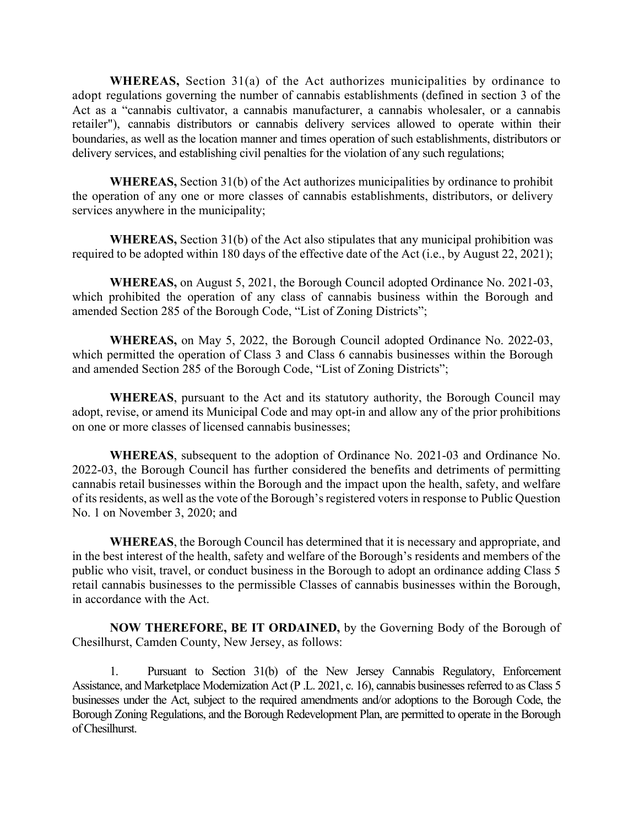**WHEREAS,** Section 31(a) of the Act authorizes municipalities by ordinance to adopt regulations governing the number of cannabis establishments (defined in section 3 of the Act as a "cannabis cultivator, a cannabis manufacturer, a cannabis wholesaler, or a cannabis retailer"), cannabis distributors or cannabis delivery services allowed to operate within their boundaries, as well as the location manner and times operation of such establishments, distributors or delivery services, and establishing civil penalties for the violation of any such regulations;

**WHEREAS,** Section 31(b) of the Act authorizes municipalities by ordinance to prohibit the operation of any one or more classes of cannabis establishments, distributors, or delivery services anywhere in the municipality;

**WHEREAS,** Section 31(b) of the Act also stipulates that any municipal prohibition was required to be adopted within 180 days of the effective date of the Act (i.e., by August 22, 2021);

**WHEREAS,** on August 5, 2021, the Borough Council adopted Ordinance No. 2021-03, which prohibited the operation of any class of cannabis business within the Borough and amended Section 285 of the Borough Code, "List of Zoning Districts";

**WHEREAS,** on May 5, 2022, the Borough Council adopted Ordinance No. 2022-03, which permitted the operation of Class 3 and Class 6 cannabis businesses within the Borough and amended Section 285 of the Borough Code, "List of Zoning Districts";

**WHEREAS**, pursuant to the Act and its statutory authority, the Borough Council may adopt, revise, or amend its Municipal Code and may opt-in and allow any of the prior prohibitions on one or more classes of licensed cannabis businesses;

**WHEREAS**, subsequent to the adoption of Ordinance No. 2021-03 and Ordinance No. 2022-03, the Borough Council has further considered the benefits and detriments of permitting cannabis retail businesses within the Borough and the impact upon the health, safety, and welfare of its residents, as well as the vote of the Borough's registered voters in response to Public Question No. 1 on November 3, 2020; and

**WHEREAS**, the Borough Council has determined that it is necessary and appropriate, and in the best interest of the health, safety and welfare of the Borough's residents and members of the public who visit, travel, or conduct business in the Borough to adopt an ordinance adding Class 5 retail cannabis businesses to the permissible Classes of cannabis businesses within the Borough, in accordance with the Act.

**NOW THEREFORE, BE IT ORDAINED,** by the Governing Body of the Borough of Chesilhurst, Camden County, New Jersey, as follows:

1. Pursuant to Section 31(b) of the New Jersey Cannabis Regulatory, Enforcement Assistance, and Marketplace Modernization Act (P .L. 2021, c. 16), cannabis businesses referred to as Class 5 businesses under the Act, subject to the required amendments and/or adoptions to the Borough Code, the Borough Zoning Regulations, and the Borough Redevelopment Plan, are permitted to operate in the Borough of Chesilhurst.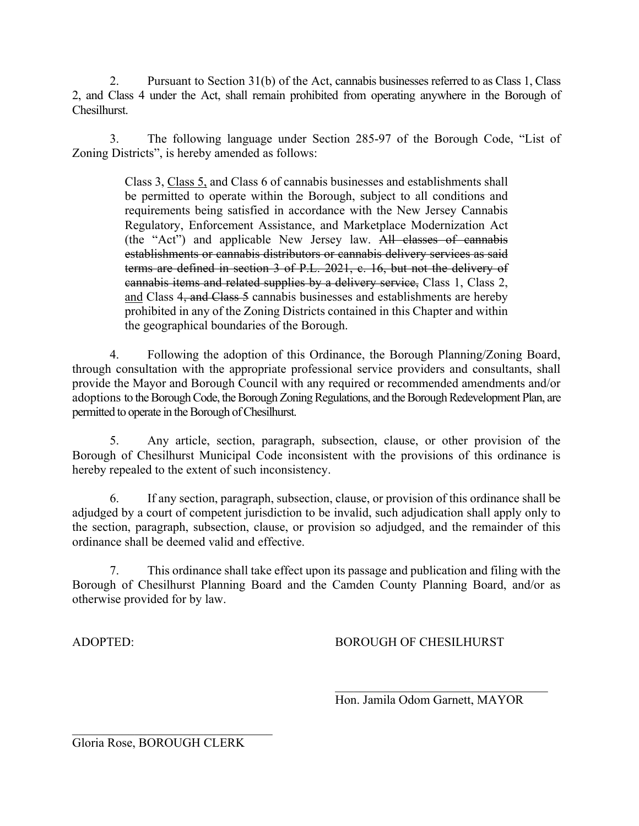2. Pursuant to Section 31(b) of the Act, cannabis businesses referred to as Class 1, Class 2, and Class 4 under the Act, shall remain prohibited from operating anywhere in the Borough of Chesilhurst.

3. The following language under Section 285-97 of the Borough Code, "List of Zoning Districts", is hereby amended as follows:

> Class 3, Class 5, and Class 6 of cannabis businesses and establishments shall be permitted to operate within the Borough, subject to all conditions and requirements being satisfied in accordance with the New Jersey Cannabis Regulatory, Enforcement Assistance, and Marketplace Modernization Act (the "Act") and applicable New Jersey law. All classes of cannabis establishments or cannabis distributors or cannabis delivery services as said terms are defined in section 3 of P.L. 2021, c. 16, but not the delivery of cannabis items and related supplies by a delivery service, Class 1, Class 2, and Class 4, and Class 5 cannabis businesses and establishments are hereby prohibited in any of the Zoning Districts contained in this Chapter and within the geographical boundaries of the Borough.

4. Following the adoption of this Ordinance, the Borough Planning/Zoning Board, through consultation with the appropriate professional service providers and consultants, shall provide the Mayor and Borough Council with any required or recommended amendments and/or adoptions to the Borough Code, the Borough Zoning Regulations, and the Borough Redevelopment Plan, are permitted to operate in the Borough of Chesilhurst.

5. Any article, section, paragraph, subsection, clause, or other provision of the Borough of Chesilhurst Municipal Code inconsistent with the provisions of this ordinance is hereby repealed to the extent of such inconsistency.

6. If any section, paragraph, subsection, clause, or provision of this ordinance shall be adjudged by a court of competent jurisdiction to be invalid, such adjudication shall apply only to the section, paragraph, subsection, clause, or provision so adjudged, and the remainder of this ordinance shall be deemed valid and effective.

7. This ordinance shall take effect upon its passage and publication and filing with the Borough of Chesilhurst Planning Board and the Camden County Planning Board, and/or as otherwise provided for by law.

ADOPTED: BOROUGH OF CHESILHURST

Hon. Jamila Odom Garnett, MAYOR

 $\mathcal{L}=\mathcal{L}=\mathcal{L}=\mathcal{L}=\mathcal{L}=\mathcal{L}=\mathcal{L}=\mathcal{L}=\mathcal{L}=\mathcal{L}=\mathcal{L}=\mathcal{L}=\mathcal{L}=\mathcal{L}=\mathcal{L}=\mathcal{L}=\mathcal{L}=\mathcal{L}=\mathcal{L}=\mathcal{L}=\mathcal{L}=\mathcal{L}=\mathcal{L}=\mathcal{L}=\mathcal{L}=\mathcal{L}=\mathcal{L}=\mathcal{L}=\mathcal{L}=\mathcal{L}=\mathcal{L}=\mathcal{L}=\mathcal{L}=\mathcal{L}=\mathcal{L}=\mathcal{L}=\mathcal{$ 

Gloria Rose, BOROUGH CLERK